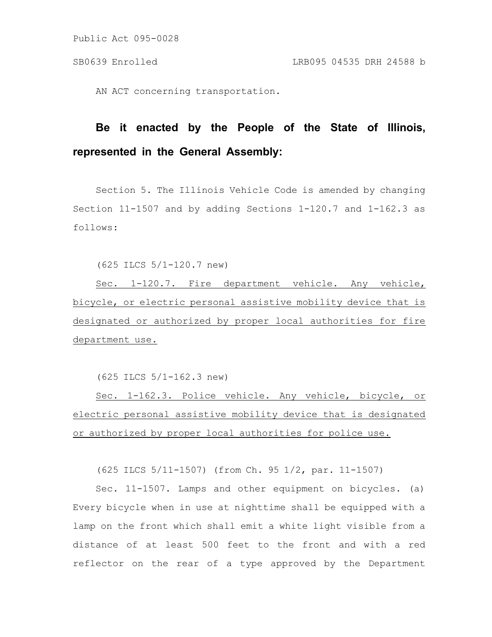Public Act 095-0028

AN ACT concerning transportation.

## **Be it enacted by the People of the State of Illinois, represented in the General Assembly:**

Section 5. The Illinois Vehicle Code is amended by changing Section 11-1507 and by adding Sections 1-120.7 and 1-162.3 as follows:

(625 ILCS 5/1-120.7 new)

Sec. 1-120.7. Fire department vehicle. Any vehicle, bicycle, or electric personal assistive mobility device that is designated or authorized by proper local authorities for fire department use.

(625 ILCS 5/1-162.3 new)

Sec. 1-162.3. Police vehicle. Any vehicle, bicycle, or electric personal assistive mobility device that is designated or authorized by proper local authorities for police use.

(625 ILCS 5/11-1507) (from Ch. 95 1/2, par. 11-1507)

Sec. 11-1507. Lamps and other equipment on bicycles. (a) Every bicycle when in use at nighttime shall be equipped with a lamp on the front which shall emit a white light visible from a distance of at least 500 feet to the front and with a red reflector on the rear of a type approved by the Department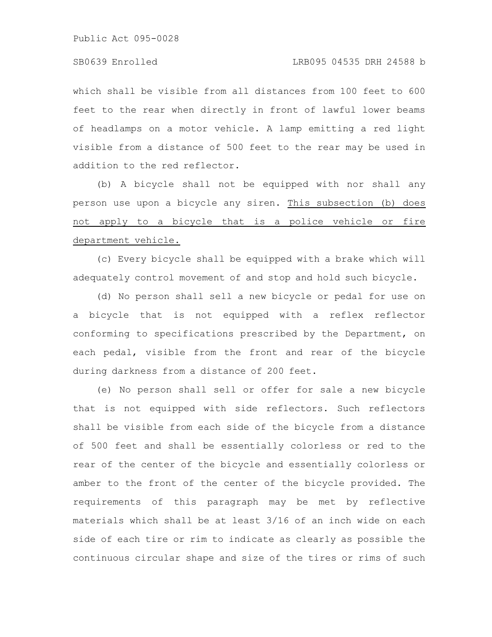Public Act 095-0028

which shall be visible from all distances from 100 feet to 600 feet to the rear when directly in front of lawful lower beams of headlamps on a motor vehicle. A lamp emitting a red light visible from a distance of 500 feet to the rear may be used in addition to the red reflector.

(b) A bicycle shall not be equipped with nor shall any person use upon a bicycle any siren. This subsection (b) does not apply to a bicycle that is a police vehicle or fire department vehicle.

(c) Every bicycle shall be equipped with a brake which will adequately control movement of and stop and hold such bicycle.

(d) No person shall sell a new bicycle or pedal for use on a bicycle that is not equipped with a reflex reflector conforming to specifications prescribed by the Department, on each pedal, visible from the front and rear of the bicycle during darkness from a distance of 200 feet.

(e) No person shall sell or offer for sale a new bicycle that is not equipped with side reflectors. Such reflectors shall be visible from each side of the bicycle from a distance of 500 feet and shall be essentially colorless or red to the rear of the center of the bicycle and essentially colorless or amber to the front of the center of the bicycle provided. The requirements of this paragraph may be met by reflective materials which shall be at least 3/16 of an inch wide on each side of each tire or rim to indicate as clearly as possible the continuous circular shape and size of the tires or rims of such